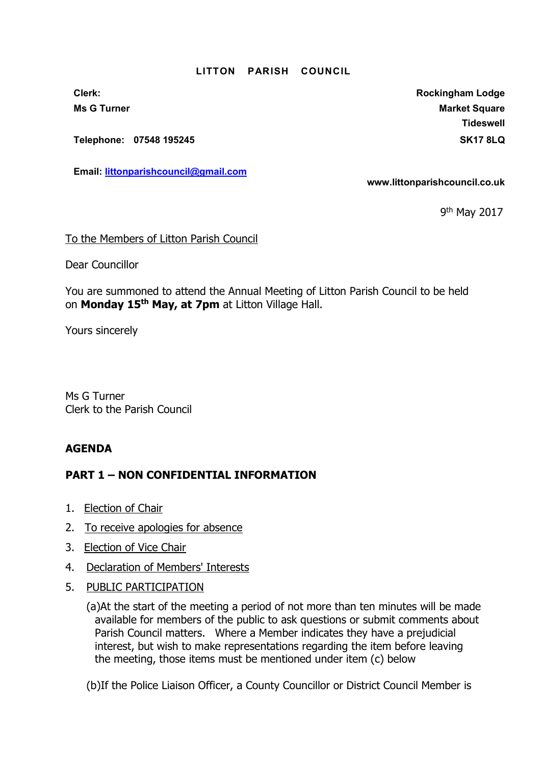## LITTON PARISH COUNCIL

Telephone: 07548 195245 SK17 8LQ

Email: littonparishcouncil@gmail.com

Clerk: Clerk: Clerk: Rockingham Lodge Ms G Turner Market Square Market Square Market Square Market Square Market Square Market Square Market Square **Tideswell** 

www.littonparishcouncil.co.uk

9<sup>th</sup> May 2017

## To the Members of Litton Parish Council

Dear Councillor

You are summoned to attend the Annual Meeting of Litton Parish Council to be held on Monday 15<sup>th</sup> May, at 7pm at Litton Village Hall.

Yours sincerely

Ms G Turner Clerk to the Parish Council

## AGENDA

## PART 1 – NON CONFIDENTIAL INFORMATION

- 1. Election of Chair
- 2. To receive apologies for absence
- 3. Election of Vice Chair
- 4. Declaration of Members' Interests
- 5. PUBLIC PARTICIPATION

 (a)At the start of the meeting a period of not more than ten minutes will be made available for members of the public to ask questions or submit comments about Parish Council matters. Where a Member indicates they have a prejudicial interest, but wish to make representations regarding the item before leaving the meeting, those items must be mentioned under item (c) below

(b)If the Police Liaison Officer, a County Councillor or District Council Member is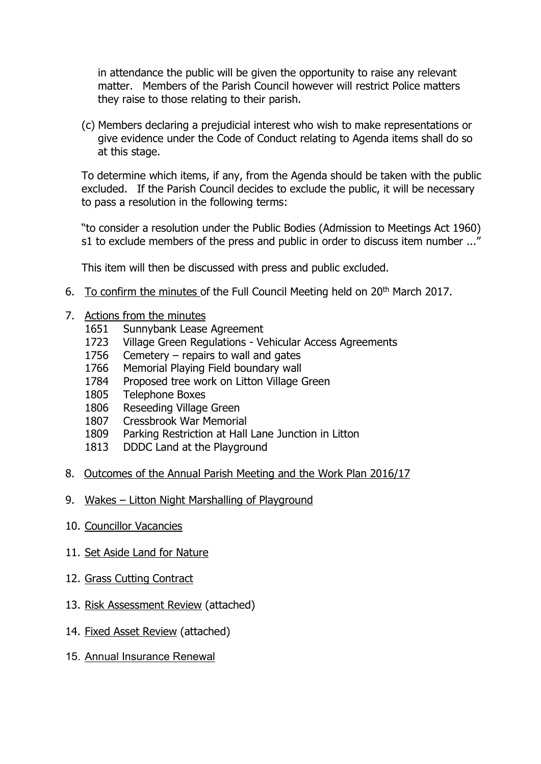in attendance the public will be given the opportunity to raise any relevant matter. Members of the Parish Council however will restrict Police matters they raise to those relating to their parish.

(c) Members declaring a prejudicial interest who wish to make representations or give evidence under the Code of Conduct relating to Agenda items shall do so at this stage.

To determine which items, if any, from the Agenda should be taken with the public excluded. If the Parish Council decides to exclude the public, it will be necessary to pass a resolution in the following terms:

"to consider a resolution under the Public Bodies (Admission to Meetings Act 1960) s1 to exclude members of the press and public in order to discuss item number ..."

This item will then be discussed with press and public excluded.

- 6. To confirm the minutes of the Full Council Meeting held on 20th March 2017.
- 7. Actions from the minutes
	- 1651 Sunnybank Lease Agreement
	- 1723 Village Green Regulations Vehicular Access Agreements
	- 1756 Cemetery repairs to wall and gates
	- 1766 Memorial Playing Field boundary wall
	- 1784 Proposed tree work on Litton Village Green
	- 1805 Telephone Boxes
	- 1806 Reseeding Village Green
	- 1807 Cressbrook War Memorial
	- 1809 Parking Restriction at Hall Lane Junction in Litton
	- 1813 DDDC Land at the Playground
- 8. Outcomes of the Annual Parish Meeting and the Work Plan 2016/17
- 9. Wakes Litton Night Marshalling of Playground
- 10. Councillor Vacancies
- 11. Set Aside Land for Nature
- 12. Grass Cutting Contract
- 13. Risk Assessment Review (attached)
- 14. Fixed Asset Review (attached)
- 15. Annual Insurance Renewal